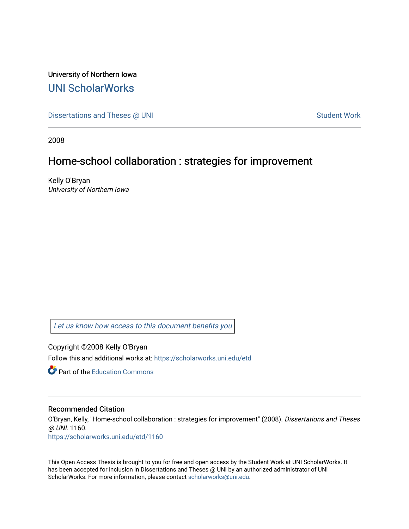University of Northern Iowa [UNI ScholarWorks](https://scholarworks.uni.edu/) 

[Dissertations and Theses @ UNI](https://scholarworks.uni.edu/etd) Student Work

2008

## Home-school collaboration : strategies for improvement

Kelly O'Bryan University of Northern Iowa

[Let us know how access to this document benefits you](https://scholarworks.uni.edu/feedback_form.html) 

Copyright ©2008 Kelly O'Bryan Follow this and additional works at: [https://scholarworks.uni.edu/etd](https://scholarworks.uni.edu/etd?utm_source=scholarworks.uni.edu%2Fetd%2F1160&utm_medium=PDF&utm_campaign=PDFCoverPages) 

**C** Part of the [Education Commons](http://network.bepress.com/hgg/discipline/784?utm_source=scholarworks.uni.edu%2Fetd%2F1160&utm_medium=PDF&utm_campaign=PDFCoverPages)

#### Recommended Citation

O'Bryan, Kelly, "Home-school collaboration : strategies for improvement" (2008). Dissertations and Theses @ UNI. 1160.

[https://scholarworks.uni.edu/etd/1160](https://scholarworks.uni.edu/etd/1160?utm_source=scholarworks.uni.edu%2Fetd%2F1160&utm_medium=PDF&utm_campaign=PDFCoverPages)

This Open Access Thesis is brought to you for free and open access by the Student Work at UNI ScholarWorks. It has been accepted for inclusion in Dissertations and Theses @ UNI by an authorized administrator of UNI ScholarWorks. For more information, please contact [scholarworks@uni.edu](mailto:scholarworks@uni.edu).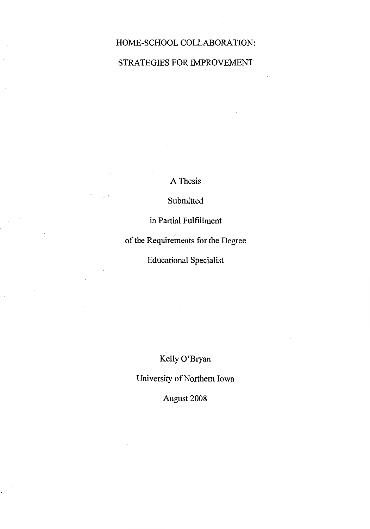## HOME-SCHOOL COLLABORATION:

## STRATEGIES FOR IMPROVEMENT

A Thesis

Submitted

in Partial Fulfillment

of the Requirements for the Degree

Educational Specialist

Kelly O'Bryan

University of Northern Iowa

August 2008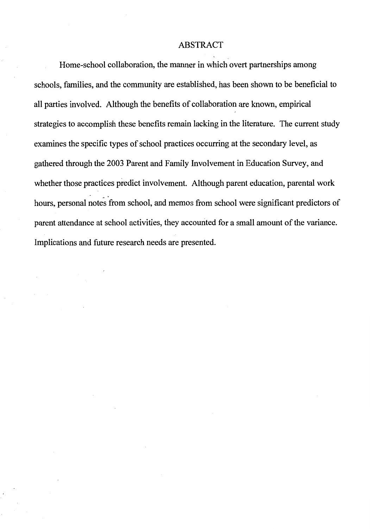#### ABSTRACT

Home-school collaboration, the manner in which overt partnerships among schools, families, and the community are established, has been shown to be beneficial to all parties involved. Although the benefits of collaboration are known, empirical strategies to accomplish these benefits remain lacking in the literature. The current study examines the specific types of school practices occurring at the secondary level, as gathered through the 2003 Parent and Family Involvement in Education Survey, and whether those practices predict involvement. Although parent education, parental work hours, personal notes from school, and memos from school were significant predictors of parent attendance at school activities, they accounted for a small amount of the variance. Implications and future research needs are presented.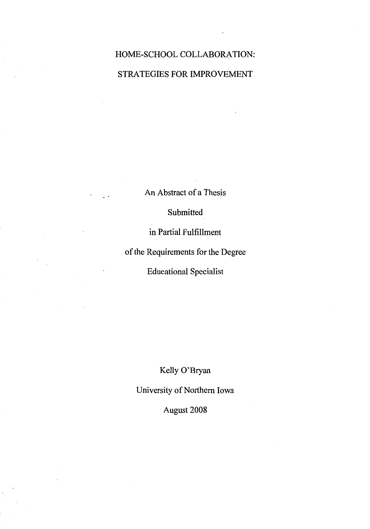# HOME-SCHOOL COLLABORATION: STRATEGIES FOR IMPROVEMENT

An Abstract of a Thesis

Submitted

in Partial Fulfillment

of the Requirements for the Degree

Educational Specialist

Kelly O'Bryan

University of Northern Iowa

August 2008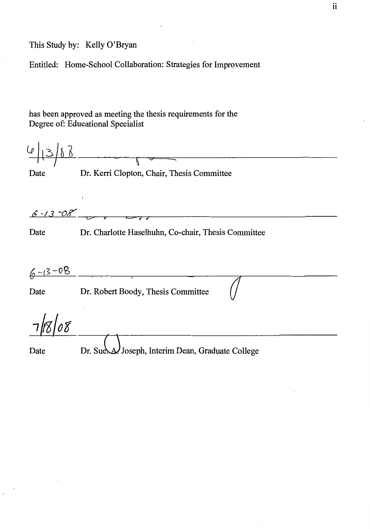This Study by: Kelly O'Bryan

Entitled: Home-School Collaboration: Strategies for Improvement

has been approved as meeting the thesis requirements for the Degree of: Educational Specialist

| le.           |                                                     |
|---------------|-----------------------------------------------------|
|               |                                                     |
| Date          | Dr. Kerri Clopton, Chair, Thesis Committee          |
|               |                                                     |
| $6 - 13 - 08$ | $\overline{a}$                                      |
| Date          | Dr. Charlotte Haselhuhn, Co-chair, Thesis Committee |
|               |                                                     |
| $6 - 13 - 08$ |                                                     |
| Date          | Dr. Robert Boody, Thesis Committee                  |
|               |                                                     |
| Date          | Dr. Sue. A. Joseph, Interim Dean, Graduate College  |
|               |                                                     |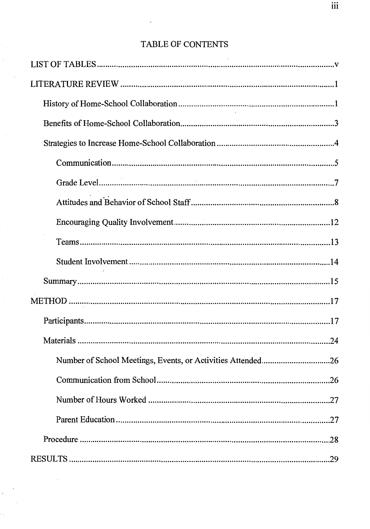## TABLE OF CONTENTS

| .26 |
|-----|
|     |
|     |
|     |
|     |

 $\overline{\phantom{a}}$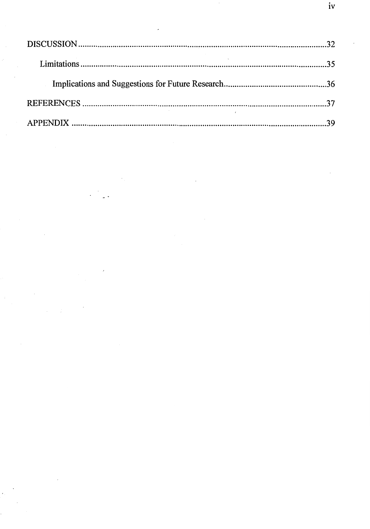$\overline{\phantom{a}}$ 

 $\ddot{\phantom{a}}$ 

 $\label{eq:2}$ 

 $\left\langle \cdot \right\rangle$ 

 $\overline{\phantom{a}}$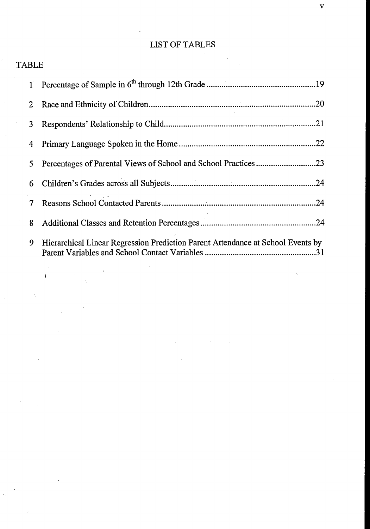## LIST OF TABLES

| <b>COLLA</b> |  |
|--------------|--|
|              |  |
|              |  |

TABLE

 $\lambda$ 

|   | 5 Percentages of Parental Views of School and School Practices23                |
|---|---------------------------------------------------------------------------------|
|   |                                                                                 |
|   |                                                                                 |
| 8 |                                                                                 |
| 9 | Hierarchical Linear Regression Prediction Parent Attendance at School Events by |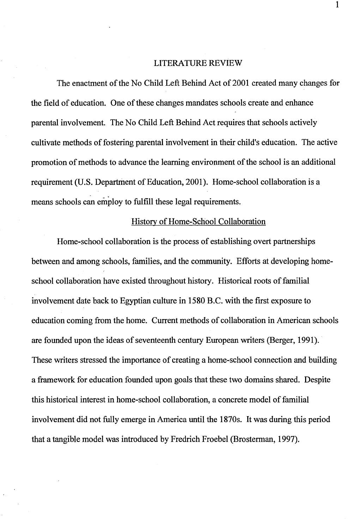#### LITERATURE REVIEW

The enactment of the No Child Left Behind Act of 2001 created many changes for the field of education. One of these changes mandates schools create and enhance parental involvement. The No Child Left Behind Act requires that schools actively cultivate methods of fostering parental involvement in their child's education. The active promotion of methods to advance the learning environment of the school is an additional requirement (U.S. Department of Education, 2001). Home-school collaboration is a means schools can employ to fulfill these legal requirements.

#### History of Home-School Collaboration

Home-school collaboration is the process of establishing overt partnerships between and among schools, families, and the community. Efforts at developing homeschool collaboration have existed throughout history. Historical roots of familial involvement date back to Egyptian culture in 1580 B.C. with the first exposure to education coming from the home. Current methods of collaboration in American schools are founded upon the ideas of seventeenth century European writers (Berger, 1991 ). These writers stressed the importance of creating a home-school connection and building a framework for education founded upon goals that these two domains shared. Despite this historical interest in home-school collaboration, a concrete model of familial involvement did not fully emerge in America until the 1870s. It was during this period that a tangible model was introduced by Fredrich Froebe! (Brosterman, 1997).

1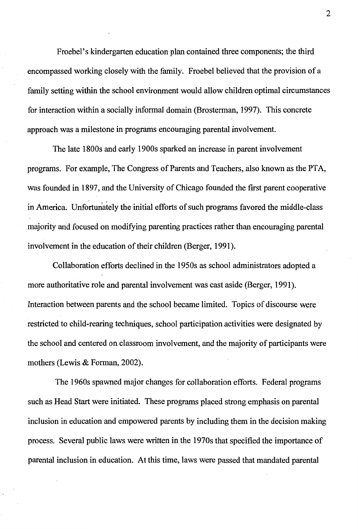Froebel's kindergarten education plan contained three components; the third encompassed working closely with the family. Froebe! believed that the provision of a family setting within the school environment would allow children optimal circumstances for interaction within a socially informal domain (Brosterman, 1997). This concrete approach was a milestone in programs encouraging parental involvement.

The late 1800s and early 1900s sparked an increase in parent involvement programs. For example, The Congress of Parents and Teachers, also known as the PTA, was founded in 1897, and the University of Chicago founded the first parent cooperative in America. Unfortunately the initial efforts of such programs favored the middle-class majority and focused on modifying parenting practices rather than encouraging parental involvement in the education of their children (Berger, 1991).

Collaboration efforts declined in the 1950s as school administrators adopted a more authoritative role and parental involvement was cast aside (Berger, 1991). Interaction between parents and the school became limited. Topics of discourse were restricted to child-rearing techniques, school participation activities were designated by the school and centered on classroom involvement, and the majority of participants were mothers (Lewis & Forman, 2002).

The 1960s spawned major changes for collaboration efforts. Federal programs such as Head Start were initiated. These programs placed strong emphasis on parental inclusion in education and empowered parents by including them in the decision making process. Several public laws were written in the 1970s that specified the importance of parental inclusion in education. At this time, laws were passed that mandated parental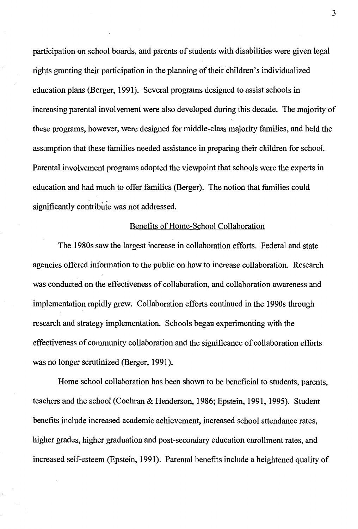participation on school boards, and parents of students with disabilities were given legal rights granting their participation in the planning of their children's individualized education plans (Berger, 1991). Several programs designed to assist schools in increasing parental involvement were also developed during this decade. The majority of these programs, however, were designed for middle-class majority families, and held the assumption that these families needed assistance in preparing their children for school. Parental involvement programs adopted the viewpoint that schools were the experts in education and had much fo offer families (Berger). The notion that families could significantly contribute was not addressed.

#### Benefits of Home-School Collaboration

The 1980s saw the largest increase in collaboration efforts. Federal and state agencies offered information to the public on how to increase collaboration. Research was conducted on the effectiveness of collaboration, and collaboration awareness and implementation rapidly grew. Collaboration efforts continued in the 1990s through research and strategy implementation. Schools began experimenting with the effectiveness of community collaboration and the significance of collaboration efforts was no longer scrutinized (Berger, 1991).

Home school collaboration has been shown to be beneficial to students, parents, teachers and the school (Cochran & Henderson, 1986; Epstein, 1991, 1995). Student benefits include increased academic achievement, increased school attendance rates, higher grades, higher graduation and post-secondary education emollment rates, and increased self-esteem (Epstein, 1991). Parental benefits include a heightened quality of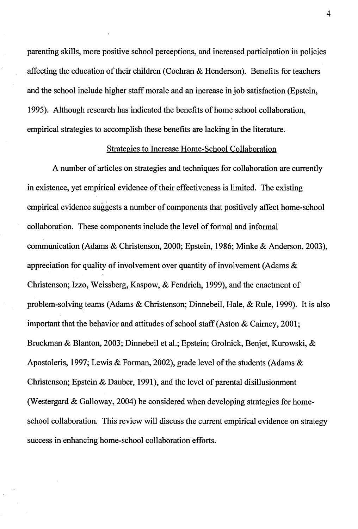parenting skills, more positive school perceptions, and increased participation in policies affecting the education of their children (Cochran & Henderson). Benefits for teachers and the school include higher staff morale and an increase in job satisfaction (Epstein, 1995). Although research has indicated the benefits of home school collaboration, empirical strategies to accomplish these benefits are lacking in the literature.

#### Strategies to Increase Home-School Collaboration

A number of articles on strategies and techniques for collaboration are currently in existence, yet empirical evidence of their effectiveness is limited. The existing empirical evidence suggests a number of components that positively affect home-school collaboration. These components include the level of formal and informal communication (Adams & Christenson, 2000; Epstein, 1986; Minke & Anderson, 2003), appreciation for quality of involvement over quantity of involvement (Adams & Christenson; Izzo, Weissberg, Kaspow, & Fendrich, 1999), and the enactment of problem-solving teams (Adams & Christenson; Dinnebeil, Hale, & Rule, 1999). It is also important that the behavior and attitudes of school staff (Aston & Caimey, 2001; Bruckman & Blanton, 2003; Dinnebeil et al.; Epstein; Grolnick, Benjet, Kurowski, & Apostoleris, 1997; Lewis & Forman, 2002), grade level of the students (Adams & Christenson; Epstein & Dauber, 1991), and the level of parental disillusionment (Westergard & Galloway, 2004) be considered when developing strategies for homeschool collaboration. This review will discuss the current empirical evidence on strategy success in enhancing home-school collaboration efforts.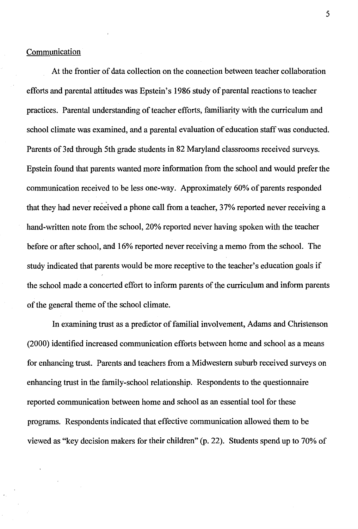#### Communication

At the frontier of data collection on the connection between teacher collaboration efforts and parental attitudes was Epstein's 1986 study of parental reactions to teacher practices. Parental understanding of teacher efforts, familiarity with the curriculum and school climate was examined, and a parental evaluation of education staff was conducted. Parents of 3rd through 5th grade students in 82 Maryland classrooms received surveys. Epstein found that parents wanted more information from the school and would prefer the communication received to be less one-way. Approximately 60% of parents responded that they had never received a phone call from a teacher, 37% reported never receiving a hand-written note from the school, 20% reported never having spoken with the teacher before or after school, and 16% reported never receiving a memo from the school. The study indicated that parents would be more receptive to the teacher's education goals if the school made a concerted effort to inform parents of the curriculum and inform parents of the general theme of the school climate.

In examining trust as a predictor of familial involvement, Adams and Christenson (2000) identified increased communication efforts between home and school as a means for enhancing trust. Parents and teachers from a Midwestern suburb received surveys on enhancing trust in the family-school relationship. Respondents to the questionnaire reported communication between home and school as an essential tool for these programs. Respondents indicated that effective communication allowed them to be viewed as "key decision makers for their children" (p. 22). Students spend up to 70% of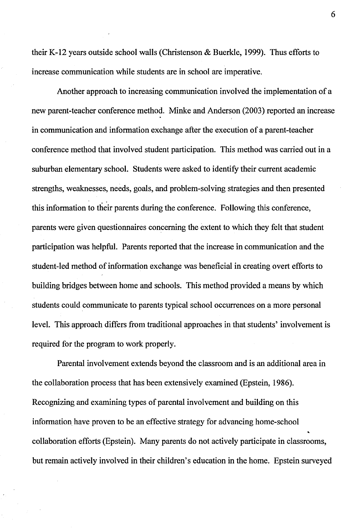their K-12 years outside school walls (Christenson & Buerkle, 1999). Thus efforts to increase communication while students are in school are imperative.

Another approach to increasing communication involved the implementation of a new parent-teacher conference method. Minke and Anderson (2003) reported an increase in communication and information exchange after the execution of a parent-teacher conference method that involved student participation. This method was carried out in a suburban elementary school. Students were asked to identify their current academic strengths, weaknesses, needs, goals, and problem-solving strategies and then presented this information to their parents during the conference. Following this conference, parents were given questionnaires concerning the extent to which they felt that student participation was helpful. Parents reported that the increase in communication and the student-led method of information exchange was beneficial in creating overt efforts to building bridges between home and schools. This method provided a means by which students could communicate to parents typical school occurrences on a more personal level. This approach differs from traditional approaches in that students' involvement is required for the program to work properly.

Parental involvement extends beyond the classroom and is an additional area in the collaboration process that has been extensively examined (Epstein, 1986). Recognizing and examining types of parental involvement and building on this information have proven to be an effective strategy for advancing home-school collaboration efforts (Epstein). Many parents do not actively participate in classrooms, but remain actively involved in their children's education in the home. Epstein surveyed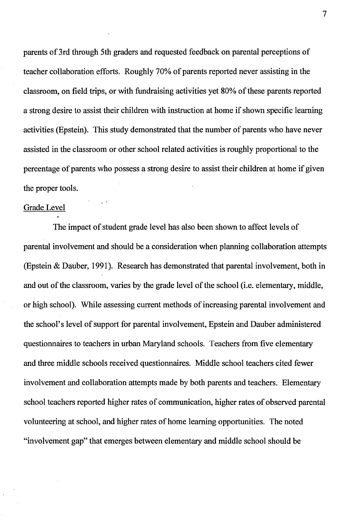parents of 3rd through 5th graders and requested feedback on parental perceptions of teacher collaboration efforts. Roughly 70% of parents reported never assisting in the classroom, on field trips, or with fundraising activities yet 80% of these parents reported a strong desire to assist their children with instruction at home if shown specific learning activities (Epstein). This study demonstrated that the number of parents who have never assisted in the classroom or other school related activities is roughly proportional to the percentage of parents who possess a strong desire to assist their children at home if given the proper tools.

#### Grade Level

The impact of student grade level has also been shown to affect levels of parental involvement and should be a consideration when planning collaboration attempts (Epstein & Dauber, 1991). Research has demonstrated that parental involvement, both in and out of the classroom, varies by the grade level of the school (i.e. elementary, middle, or high school). While assessing current methods of increasing parental involvement and the school's level of support for parental involvement, Epstein and Dauber administered questionnaires to teachers in urban Maryland schools. Teachers from five elementary and three middle schools received questionnaires. Middle school teachers cited fewer involvement and collaboration attempts made by both parents and teachers. Elementary school teachers reported higher rates of communication, higher rates of observed parental volunteering at school, and higher rates of home learning opportunities. The noted "involvement gap" that emerges between elementary and middle school should be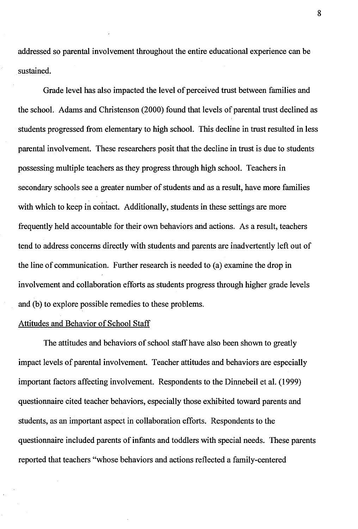addressed so parental involvement throughout the entire educational experience can be sustained.

Grade level has also impacted the level of perceived trust between families and the school. Adams and Christenson (2000) found that levels of parental trust declined as students progressed from elementary to high school. This decline in trust resulted in less parental involvement. These researchers posit that the decline in trust is due to students possessing multiple teachers as they progress through high school. Teachers in secondary schools see a greater number of students and as a result, have more families with which to keep in contact. Additionally, students in these settings are more frequently held accountable for their own behaviors and actions. As a result, teachers tend to address concerns directly with students and parents are inadvertently left out of the line of communication. Further research is needed to (a) examine the drop in involvement and collaboration efforts as students progress through higher grade levels and (b) to explore possible remedies to these problems.

## Attitudes and Behavior of School Staff

The attitudes and behaviors of school staff have also been shown to greatly impact levels of parental involvement. Teacher attitudes and behaviors are especially important factors affecting involvement. Respondents to the Dinnebeil et al. (1999) questionnaire cited teacher behaviors, especially those exhibited toward parents and students, as an important aspect in collaboration efforts. Respondents to the questionnaire included parents of infants and toddlers with special needs. These parents reported that teachers "whose behaviors and actions reflected a family-centered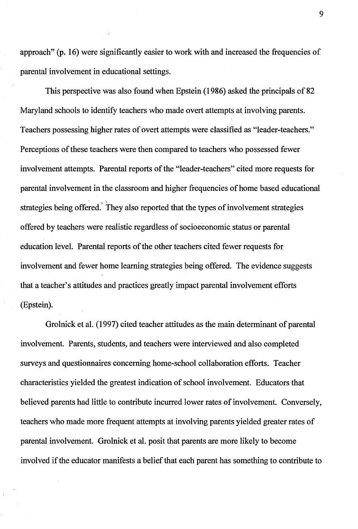approach" (p. 16) were significantly easier to work with and increased the frequencies of parental involvement in educational settings.

This perspective was also found when Epstein (1986) asked the principals of 82 Maryland schools to identify teachers who made overt attempts at involving parents. Teachers possessing higher rates of overt attempts were classified as "leader-teachers." Perceptions of these teachers were then compared to teachers who possessed fewer involvement attempts. Parental reports of the "leader-teachers" cited more requests for parental involvement in the classroom and higher frequencies of home based educational strategies being offered. They also reported that the types of involvement strategies offered by teachers were realistic regardless of socioeconomic status or parental education level. Parental reports of the other teachers cited fewer requests for involvement and fewer home learning strategies being offered. The evidence suggests that a teacher's attitudes and practices greatly impact parental involvement efforts (Epstein).

Grolnick et al. (1997) cited teacher attitudes as the main determinant of parental involvement. Parents, students, and teachers were interviewed and also completed surveys and questionnaires concerning home-school collaboration efforts. Teacher characteristics yielded the greatest indication of school involvement. Educators that believed parents had little to contribute incurred lower rates of involvement. Conversely, teachers who made more frequent attempts at involving parents yielded greater rates of parental involvement. Grolnick et al. posit that parents are more likely to become involved if the educator manifests a belief that each parent has something to contribute to

9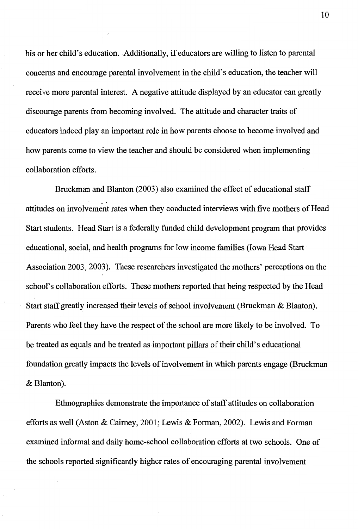his or her child's education. Additionally, if educators are willing to listen to parental concerns and encourage parental involvement in the child's education, the teacher will receive more parental interest. A negative attitude displayed by an educator can greatly discourage parents from becoming involved. The attitude and character traits of educators indeed play an important role in how parents choose to become involved and how parents come to view the teacher and should be considered when implementing collaboration efforts.

Bruckman and Blanton (2003) also examined the effect of educational staff attitudes on involvement rates when they conducted interviews with five mothers of Head Start students. Head Start is a federally funded child development program that provides educational, social, and health programs for low income families (Iowa Head Start Association 2003, 2003). These researchers investigated the mothers' perceptions on the school's collaboration efforts. These mothers reported that being respected by the Head Start staff greatly increased their levels of school involvement (Bruckman & Blanton). Parents who feel they have the respect of the school are more likely to be involved. To be treated as equals and be treated as important pillars of their child's educational foundation greatly impacts the levels of involvement in which parents engage (Bruckman & Blanton).

Ethnographies demonstrate the importance of staff attitudes on collaboration efforts as well (Aston & Caimey, 2001; Lewis & Forman, 2002). Lewis and Forman examined informal and daily home-school collaboration efforts at two schools. One of the schools reported significantly higher rates of encouraging parental involvement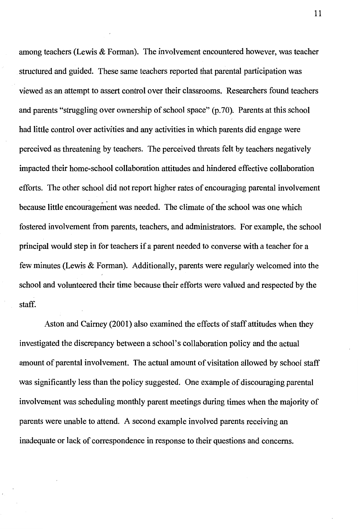among teachers (Lewis & Forman). The involvement encountered however, was teacher structured and guided. These same teachers reported that parental participation was viewed as an attempt to assert control over their classrooms. Researchers found teachers and parents "struggling over ownership of school space" (p. 70). Parents at this school had little control over activities and any activities in which parents did engage were perceived as threatening by teachers. The perceived threats felt by teachers negatively impacted their home-school collaboration attitudes and hindered effective collaboration efforts. The other school did not report higher rates of encouraging parental involvement because little encouragement was needed. The climate of the school was one which fostered involvement from parents, teachers, and administrators. For example, the school principal would step in for teachers if a parent needed to converse with a teacher for a few minutes (Lewis & Forman). Additionally, parents were regularly welcomed into the school and volunteered their time because their efforts were valued and respected by the staff.

Aston and Caimey (2001) also examined the effects of staff attitudes when they investigated the discrepancy between a school's collaboration policy and the actual amount of parental involvement. The actual amount of visitation allowed by school staff was significantly less than the policy suggested. One example of discouraging parental involvement was scheduling monthly parent meetings during times when the majority of parents were unable to attend. A second example involved parents receiving an inadequate or lack of correspondence in response to their questions and concerns.

11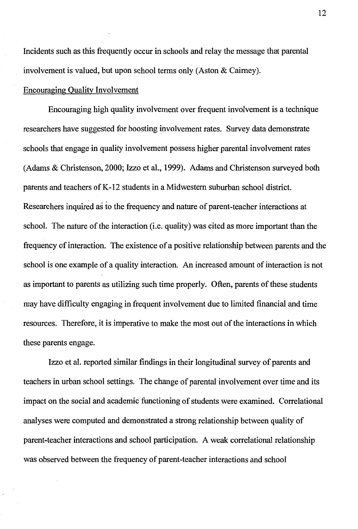Incidents such as this frequently occur in schools and relay the message that parental involvement is valued, but upon school terms only (Aston & Cairney).

#### Encouraging Quality Involvement

Encouraging high quality involvement over frequent involvement is a technique researchers have suggested for boosting involvement rates. Survey data demonstrate schools that engage in quality involvement possess higher parental involvement rates (Adams & Christenson, 2000; Izzo et al., 1999). Adams and Christenson surveyed both parents and teachers of K-12 students in a Midwestern suburban school district. Researchers inquired as io the frequency and nature of parent-teacher interactions at school. The nature of the interaction (i.e. quality) was cited as more important than the frequency of interaction. The existence of a positive relationship between parents and the school is one example of a quality interaction. An increased amount of interaction is not as important to parents as utilizing such time properly. Often, parents of these students may have difficulty engaging in frequent involvement due to limited financial and time resources. Therefore, it is imperative to make the most out of the interactions in which these parents engage.

Izzo et al. reported similar findings in their longitudinal survey of parents and teachers in urban school settings. The change of parental involvement over time and its impact on the social and academic functioning of students were examined. Correlational analyses were computed and demonstrated a strong relationship between quality of parent-teacher interactions and school participation. A weak correlational relationship was observed between the frequency of parent-teacher interactions and school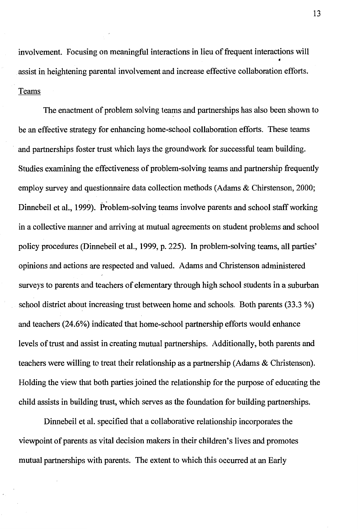involvement. Focusing on meaningful interactions in lieu of frequent interactions will • assist in heightening parental involvement and increase effective collaboration efforts. Teams

The enactment of problem solving teams and partnerships has also been shown to be an effective strategy for enhancing home-school collaboration efforts. These teams and partnerships foster trust which lays the groundwork for successful team building. Studies examining the effectiveness of problem-solving teams and partnership frequently employ survey and questionnaire data collection methods (Adams & Chirstenson, 2000; Dinnebeil et al., 1999). Problem-solving teams involve parents and school staff working in a collective manner and arriving at mutual agreements on student problems and school policy procedures (Dinnebeil et al., 1999, p. 225). In problem-solving teams, all parties' opinions and actions are respected and valued. Adams and Christenson administered surveys to parents and teachers of elementary through high school students in a suburban school district about increasing trust between home and schools. Both parents (33.3 %) and teachers (24.6%) indicated that home-school partnership efforts would enhance levels of trust and assist in creating mutual partnerships. Additionally, both parents and teachers were willing to treat their relationship as a partnership (Adams & Christenson). Holding the view that both parties joined the relationship for the purpose of educating the child assists in building trust, which serves as the foundation for building partnerships.

Dinnebeil et al. specified that a collaborative relationship incorporates the viewpoint of parents as vital decision makers in their children's lives and promotes mutual partnerships with parents. The extent to which this occurred at an Early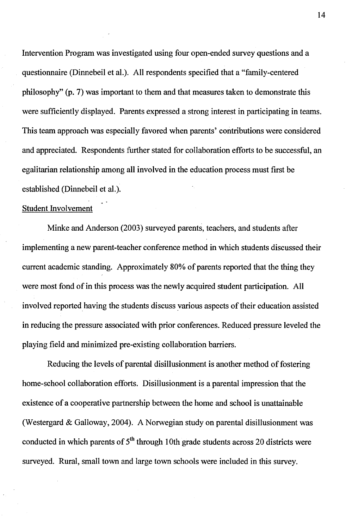Intervention Program was investigated using four open-ended survey questions and a questionnaire (Dinnebeil et al.). All respondents specified that a "family-centered philosophy" (p. 7) was important to them and that measures taken to demonstrate this were sufficiently displayed. Parents expressed a strong interest in participating in teams. This team approach was especially favored when parents' contributions were considered and appreciated. Respondents further stated for collaboration efforts to be successful, an egalitarian relationship among all involved in the education process must first be established (Dinnebeil et al.).

#### Student Involvement

Minke and Anderson (2003) surveyed parents, teachers, and students after implementing a new parent-teacher conference method in which students discussed their current academic standing. Approximately 80% of parents reported that the thing they were most fond of in this process was the newly acquired student participation. All involved reported having the students discuss various aspects of their education assisted in reducing the pressure associated with prior conferences. Reduced pressure leveled the playing field and minimized pre-existing collaboration barriers.

Reducing the levels of parental disillusionment is another method of fostering home-school collaboration efforts. Disillusionment is a parental impression that the existence of a cooperative partnership between the home and school is unattainable (Westergard & Galloway, 2004). A Norwegian study on parental disillusionment was conducted in which parents of  $5<sup>th</sup>$  through 10th grade students across 20 districts were surveyed. Rural, small town and large town schools were included in this survey.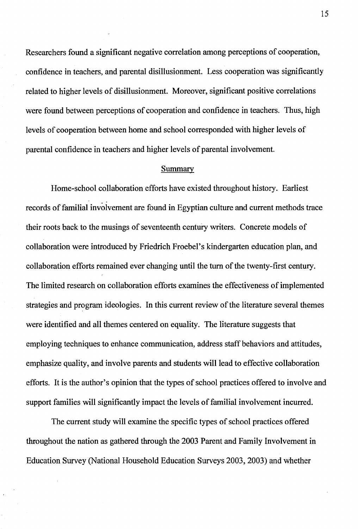Researchers found a significant negative correlation among perceptions of cooperation, confidence in teachers, and parental disillusionment. Less cooperation was significantly related to higher levels of disillusionment. Moreover, significant positive correlations were found between perceptions of cooperation and confidence in teachers. Thus, high levels of cooperation between home and school corresponded with higher levels of parental confidence in teachers and higher levels of parental involvement.

#### Summary

Home-school collaboration efforts have existed throughout history. Earliest records of familial involvement are found in Egyptian culture and current methods trace their roots back to the musings of seventeenth century writers. Concrete models of collaboration were introduced by Friedrich Froebel's kindergarten education plan, and collaboration efforts remained ever changing until the turn of the twenty-first century. The limited research on collaboration efforts examines the effectiveness of implemented strategies and program ideologies. In this current review of the literature several themes were identified and all themes centered on equality. The literature suggests that employing techniques to enhance communication, address staff behaviors and attitudes, emphasize quality, and involve parents and students will lead to effective collaboration efforts. It is the author's opinion that the types of school practices offered to involve and support families will significantly impact the levels of familial involvement incurred.

The current study will examine the specific types of school practices offered throughout the nation as gathered through the 2003 Parent and Family Involvement in Education Survey (National Household Education Surveys 2003, 2003) and whether

15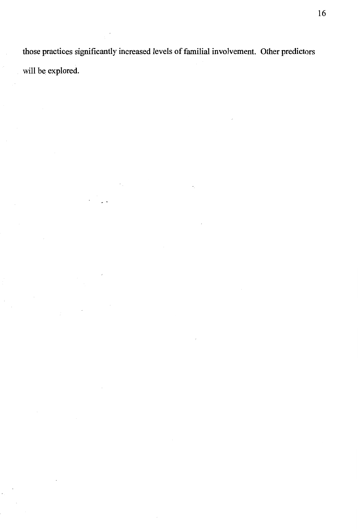those practices significantly increased levels of familial involvement. Other predictors will be explored.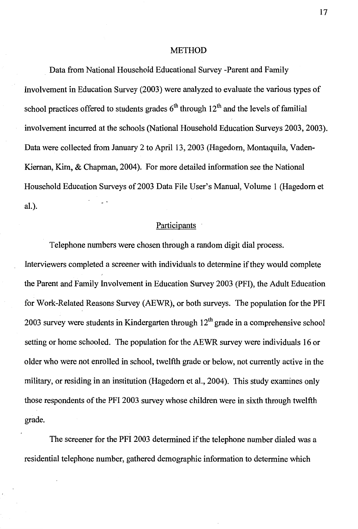#### METHOD

Data from National Household Educational Survey -Parent and Family Involvement in Education Survey (2003) were analyzed to evaluate the various types of school practices offered to students grades  $6<sup>th</sup>$  through 12<sup>th</sup> and the levels of familial involvement incurred at the schools (National Household Education Surveys 2003, 2003). Data were collected from January 2 to April 13, 2003 (Hagedorn, Montaquila, Vaden-Kiernan, Kim, & Chapman, 2004). For more detailed information see the National Household Education Surveys of 2003 Data File User's Manual, Volume 1 (Hagedorn et al.).

### Participants

Telephone numbers were chosen through a random digit dial process.

Interviewers completed a screener with individuals to determine if they would complete the Parent and Family Involvement in Education Survey 2003 (PFI), the Adult Education for Work-Related Reasons Survey (AEWR), or both surveys. The population for the PFI 2003 survey were students in Kindergarten through  $12<sup>th</sup>$  grade in a comprehensive school setting or home schooled. The population for the AEWR survey were individuals 16 or older who were not enrolled in school, twelfth grade or below, not currently active in the military, or residing in an institution (Hagedorn et al., 2004). This study examines only those respondents of the PFI 2003 survey whose children were in sixth through twelfth grade.

The screener for the PFI 2003 determined if the telephone number dialed was a residential telephone number, gathered demographic information to determine which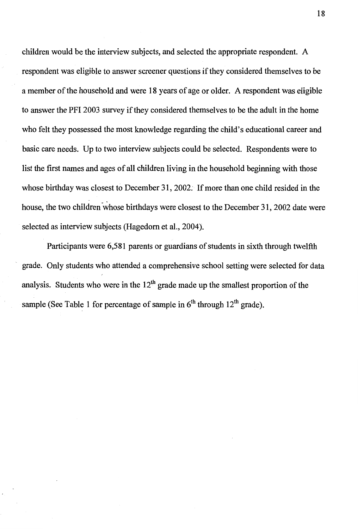children would be the interview subjects, and selected the appropriate respondent. A respondent was eligible to answer screener questions if they considered themselves to be a member of the household and were 18 years of age or older. A respondent was eligible to answer the PFI 2003 survey if they considered themselves to be the adult in the home who felt they possessed the most knowledge regarding the child's educational career and basic care needs. Up to two interview subjects could be selected. Respondents were to list the first names and ages of all children living in the household beginning with those whose birthday was closest to December 31, 2002. If more than one child resided in the house, the two children whose birthdays were closest to the December 31, 2002 date were selected as interview subjects (Hagedorn et al., 2004).

Participants were 6,581 parents or guardians of students in sixth through twelfth grade. Only students who attended a comprehensive school setting were selected for data analysis. Students who were in the  $12<sup>th</sup>$  grade made up the smallest proportion of the sample (See Table 1 for percentage of sample in  $6<sup>th</sup>$  through  $12<sup>th</sup>$  grade).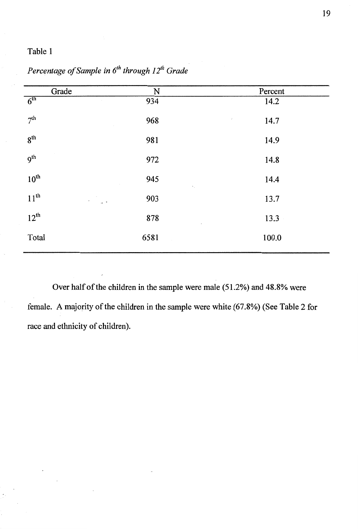| Grade                     | N                        | Percent            |
|---------------------------|--------------------------|--------------------|
| 6 <sup>th</sup>           | 934<br>$\sim$            | 14.2               |
| 7 <sup>th</sup>           | 968                      | 14.7<br>$\epsilon$ |
| 8 <sup>th</sup>           | 981                      | 14.9               |
| $\sim$<br>9 <sup>th</sup> | 972                      | 14.8               |
| $10^{\text{th}}$          | 945<br>$\sim$            | 14.4               |
| $11^{th}$<br>٠            | 903<br>$\sim$ $^{\circ}$ | 13.7               |
| $12^{th}$                 | 878                      | 13.3               |
| Total                     | 6581                     | 100.0              |
|                           |                          |                    |

*Percentage of Sample in 6th through 12'h Grade* 

Over half of the children in the sample were male (51.2%) and 48.8% were female. A majority of the children in the sample were white (67.8%) (See Table 2 for race and ethnicity of children).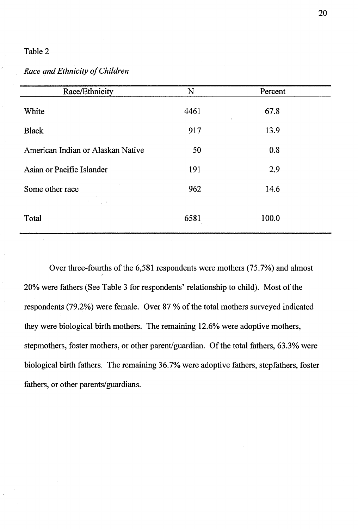## *Race and Ethnicity of Children*

| Race/Ethnicity                    | N    | Percent        |  |
|-----------------------------------|------|----------------|--|
| White                             | 4461 | 67.8<br>$\tau$ |  |
| <b>Black</b>                      | 917  | 13.9           |  |
| American Indian or Alaskan Native | 50   | 0.8            |  |
| Asian or Pacific Islander         | 191  | 2.9            |  |
| Some other race                   | 962  | 14.6           |  |
| $\bullet$<br>Total                | 6581 | 100.0          |  |

Over three-fourths of the 6,581 respondents were mothers (75.7%) and almost 20% were fathers (See Table 3 for respondents' relationship to child). Most of the respondents (79.2%) were female. Over 87 % of the total mothers surveyed indicated they were biological birth mothers. The remaining 12.6% were adoptive mothers, stepmothers, foster mothers, or other parent/guardian. Of the total fathers, 63.3% were biological birth fathers. The remaining 36.7% were adoptive fathers, stepfathers, foster fathers, or other parents/guardians.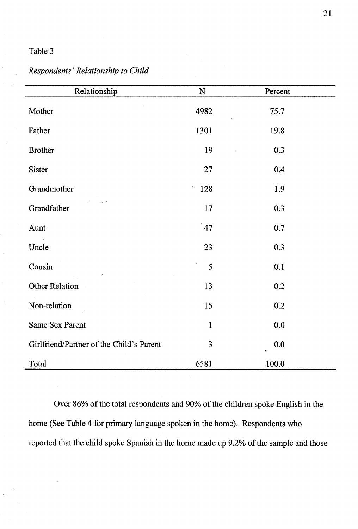## *Respondents' Relationship to Child*

| Relationship                             | ${\bf N}$    | Percent |  |
|------------------------------------------|--------------|---------|--|
| Mother                                   | 4982         | 75.7    |  |
| Father                                   | 1301         | 19.8    |  |
| <b>Brother</b>                           | 19           | 0.3     |  |
| Sister                                   | 27           | 0.4     |  |
| Grandmother                              | 128          | 1.9     |  |
| Grandfather                              | 17           | 0.3     |  |
| Aunt                                     | 47           | 0.7     |  |
| Uncle                                    | 23           | 0.3     |  |
| Cousin                                   | 5            | 0.1     |  |
| <b>Other Relation</b>                    | 13           | 0.2     |  |
| Non-relation                             | 15           | 0.2     |  |
| Same Sex Parent                          | $\mathbf{1}$ | 0.0     |  |
| Girlfriend/Partner of the Child's Parent | 3            | 0.0     |  |
| Total                                    | 6581         | 100.0   |  |

Over 86% of the total respondents and 90% of the children spoke English in the home (See Table 4 for primary language spoken in the home). Respondents who reported that the child spoke Spanish in the home made up 9.2% of the sample and those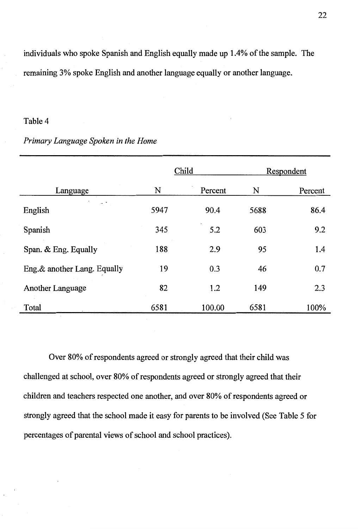individuals who spoke Spanish and English equally made up 1.4% of the sample. The remaining 3% spoke English and another language equally or another language.

#### Table 4

### *Primary Language Spoken in the Home*

|                              |      | Child   |      | Respondent |
|------------------------------|------|---------|------|------------|
| Language                     | N    | Percent | N    | Percent    |
| $\sim$ $\sim$<br>English     | 5947 | 90.4    | 5688 | 86.4       |
| Spanish                      | 345  | 5.2     | 603  | 9.2        |
| Span. & Eng. Equally         | 188  | 2.9     | 95   | 1.4        |
| Eng. & another Lang. Equally | 19   | 0.3     | 46   | 0.7        |
| <b>Another Language</b>      | 82   | 1.2     | 149  | 2.3        |
| Total                        | 6581 | 100.00  | 6581 | 100%       |

Over 80% of respondents agreed or strongly agreed that their child was challenged at school, over 80% of respondents agreed or strongly agreed that their children and teachers respected one another, and over 80% of respondents agreed or strongly agreed that the school made it easy for parents to be involved (See Table 5 for percentages of parental views of school and school practices).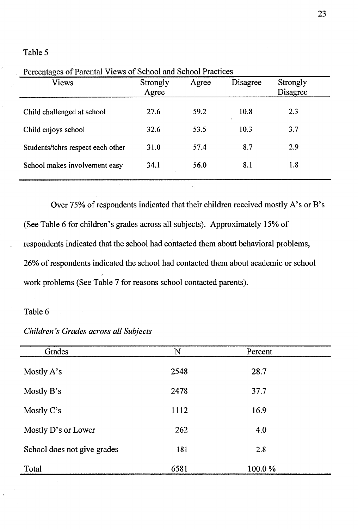| Percentages of Parental Views of School and School Practices |                   |       |          |                             |  |
|--------------------------------------------------------------|-------------------|-------|----------|-----------------------------|--|
| Views                                                        | Strongly<br>Agree | Agree | Disagree | Strongly<br><b>Disagree</b> |  |
| Child challenged at school                                   | 27.6              | 59.2  | 10.8     | 2.3                         |  |
| Child enjoys school                                          | 32.6              | 53.5  | 10.3     | 3.7                         |  |
| Students/tchrs respect each other                            | 31.0              | 57.4  | 8.7      | 2.9                         |  |
| School makes involvement easy                                | 34.1              | 56.0  | 8.1      | 1.8                         |  |
|                                                              |                   |       |          |                             |  |

Over 75% of respondents indicated that their children received mostly A's or B's (See Table 6 for children's grades across all subjects). Approximately 15% of respondents indicated that the school had contacted them about behavioral problems, 26% of respondents indicated the school had contacted them about academic or school work problems (See Table 7 for reasons school contacted parents).

#### Table 6

| Grades                      | $\mathbf N$ | Percent |  |
|-----------------------------|-------------|---------|--|
|                             |             |         |  |
| Mostly A's                  | 2548        | 28.7    |  |
| Mostly B's                  | 2478        | 37.7    |  |
| Mostly C's                  | 1112        | 16.9    |  |
| Mostly D's or Lower         | 262         | 4.0     |  |
| School does not give grades | 181         | 2.8     |  |
| Total                       | 6581        | 100.0%  |  |

*Children's Grades across all Subjects*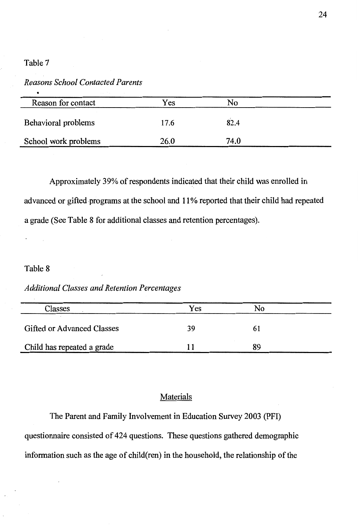#### *Reasons School Contacted Parents*

| Reason for contact   | Yes  | No   |  |
|----------------------|------|------|--|
| Behavioral problems  | 17.6 | 82.4 |  |
| School work problems | 26.0 | 74.0 |  |

Approximately 39% of respondents indicated that their child was enrolled in advanced or gifted programs at the school and 11 % reported that their child had repeated a grade (See Table 8 for additional classes and retention percentages).

#### Table 8

#### *Additional Classes and Retention Percentages*

| Classes                           | Yes | No |
|-----------------------------------|-----|----|
| <b>Gifted or Advanced Classes</b> | 39  |    |
| Child has repeated a grade        |     | 89 |

## Materials

The Parent and Family Involvement in Education Survey 2003 (PFI) questionnaire consisted of 424 questions. These questions gathered demographic information such as the age of child(ren) in the household, the relationship of the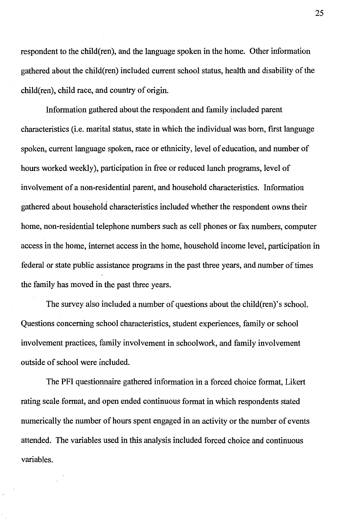respondent to the child(ren), and the language spoken in the home. Other information gathered about the child(ren) included current school status, health and disability of the child(ren), child race, and country of origin.

Information gathered about the respondent and family included parent characteristics (i.e. marital status, state in which the individual was born, first language spoken, current language spoken, race or ethnicity, level of education, and number of hours worked weekly), participation in free or reduced lunch programs, level of involvement of a non-residential parent, and household characteristics. Information gathered about household characteristics included whether the respondent owns their home, non-residential telephone numbers such as cell phones or fax numbers, computer access in the home, internet access in the home, household income level, participation in federal or state public assistance programs in the past three years, and number of times the family has moved in the past three years.

The survey also included a number of questions about the child(ren)'s school. Questions concerning school characteristics, student experiences, family or school involvement practices, family involvement in schoolwork, and family involvement outside of school were included.

The PFI questionnaire gathered information in a forced choice format, Likert rating scale format, and open ended continuous format in which respondents stated numerically the number of hours spent engaged in an activity or the number of events attended. The variables used in this analysis included forced choice and continuous variables.

25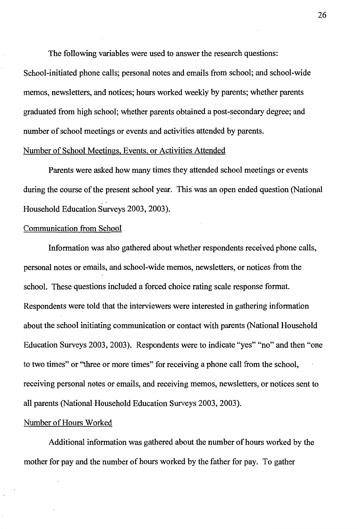The following variables were used to answer the research questions:

School-initiated phone calls; personal notes and emails from school; and school-wide memos, newsletters, and notices; hours worked weekly by parents; whether parents graduated from high school; whether parents obtained a post-secondary degree; and number of school meetings or events and activities attended by parents.

#### Number of School Meetings, Events, or Activities Attended

Parents were asked how many times they attended school meetings or events during the course of the present school year. This was an open ended question (National .. Household Education Surveys 2003, 2003).

#### Communication from School

Information was also gathered about whether respondents received phone calls, personal notes or emails, and school-wide memos, newsletters, or notices from the school. These questions included a forced choice rating scale response format. Respondents were told that the interviewers were interested in gathering information about the school initiating communication or contact with parents (National Household Education Surveys 2003, 2003). Respondents were to indicate "yes" "no" and then "one to two times" or "three or more times" for receiving a phone call from the school, receiving personal notes or emails, and receiving memos, newsletters, or notices sent to all parents (National Household Education Surveys 2003, 2003).

#### Number of Hours Worked

Additional information was gathered about the number of hours worked by the mother for pay and the number of hours worked by the father for pay. To gather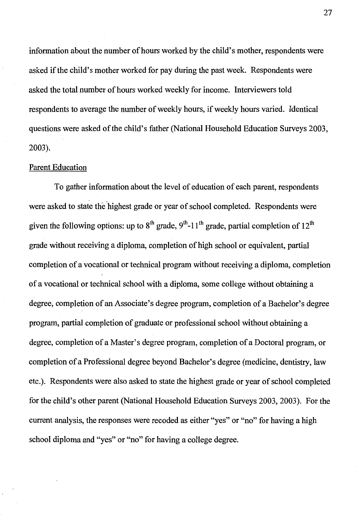information about the number of hours worked by the child's mother, respondents were asked if the child's mother worked for pay during the past week. Respondents were asked the total number of hours worked weekly for income. Interviewers told respondents to average the number of weekly hours, if weekly hours varied. Identical questions were asked of the child's father (National Household Education Surveys 2003, 2003).

#### Parent Education

To gather information about the level of education of each parent, respondents were asked to state the highest grade or year of school completed. Respondents were given the following options: up to  $8^{\text{th}}$  grade,  $9^{\text{th}}$ -11<sup>th</sup> grade, partial completion of  $12^{\text{th}}$ grade without receiving a diploma, completion of high school or equivalent, partial completion of a vocational or technical program without receiving a diploma, completion of a vocational or technical school with a diploma, some college without obtaining a degree, completion of an Associate's degree program, completion of a Bachelor's degree program, partial completion of graduate or professional school without obtaining a degree, completion of a Master's degree program, completion of a Doctoral program, or completion of a Professional degree beyond Bachelor's degree (medicine, dentistry, law etc.). Respondents were also asked to state the highest grade or year of school completed for the child's other parent (National Household Education Surveys 2003, 2003). For the current analysis, the responses were recoded as either "yes" or "no" for having a high school diploma and "yes" or "no" for having a college degree.

27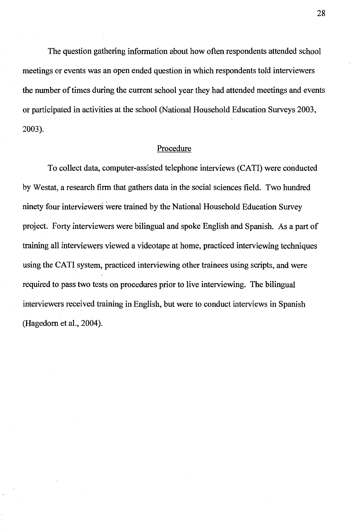The question gathering information about how often respondents attended school meetings or events was an open ended question in which respondents told interviewers the number of times during the current school year they had attended meetings and events or participated in activities at the school (National Household Education Surveys 2003, 2003).

#### Procedure

To collect data, computer-assisted telephone interviews (CATI) were conducted by Westat, a research firm that gathers data in the social sciences field. Two hundred ninety four interviewers were trained by the National Household Education Survey project. Forty interviewers were bilingual and spoke English and Spanish. As a part of training all interviewers viewed a videotape at home, practiced interviewing techniques using the CATI system, practiced interviewing other trainees using scripts, and were required to pass two tests on procedures prior to live interviewing. The bilingual interviewers received training in English, but were to conduct interviews in Spanish (Hagedorn et al., 2004).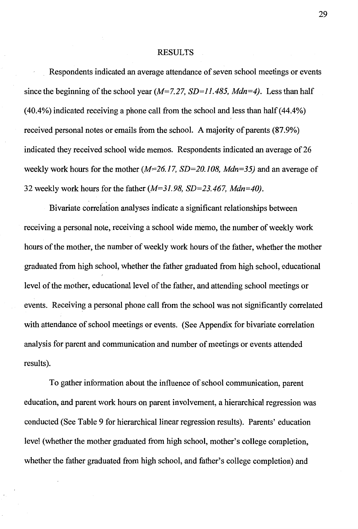#### RESULTS

Respondents indicated an average attendance of seven school meetings or events since the beginning of the school year *(M=7.27, SD=l 1.485, Mdn=4).* Less than half (40.4%) indicated receiving a phone call from the school and less than half (44.4%) received personal notes or emails from the school. A majority of parents (87.9%) indicated they received school wide memos. Respondents indicated an average of 26 weekly work hours for the mother *(M=26.17, SD=20.108, Mdn=35)* and an average of 32 weekly work hours for the father *(M=31.98, SD=23.467, Mdn=40).* 

Bivariate correlation analyses indicate a significant relationships between receiving a personal note, receiving a school wide memo, the number of weekly work hours of the mother, the number of weekly work hours of the father, whether the mother graduated from high school, whether the father graduated from high school, educational level of the mother, educational level of the father, and attending school meetings or events. Receiving a personal phone call from the school was not significantly correlated with attendance of school meetings or events. (See Appendix for bivariate correlation analysis for parent and communication and number of meetings or events attended results).

To gather information about the influence of school communication, parent education, and parent work hours on parent involvement, a hierarchical regression was conducted (See Table 9 for hierarchical linear regression results). Parents' education level (whether the mother graduated from high school, mother's college completion, whether the father graduated from high school, and father's college completion) and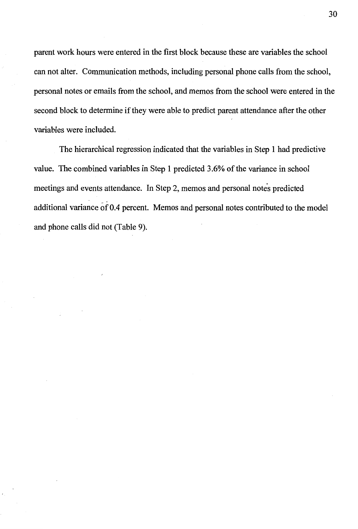parent work hours were entered in the first block because these are variables the school can not alter. Communication methods, including personal phone calls from the school, personal notes or emails from the school, and memos from the school were entered in the second block to determine if they were able to predict parent attendance after the other variables were included.

The hierarchical regression indicated that the variables in Step 1 had predictive value. The combined variables in Step 1 predicted 3.6% of the variance in school meetings and events attendance. In Step 2, memos and personal notes predicted additional variance of 0.4 percent. Memos and personal notes contributed to the model and phone calls did not (Table 9).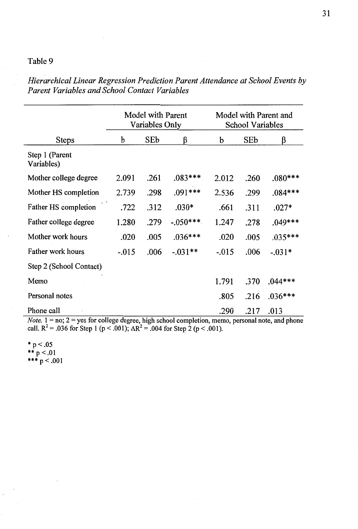|                              |         | Model with Parent<br>Variables Only |            | Model with Parent and<br><b>School Variables</b> |      |           |  |  |  |
|------------------------------|---------|-------------------------------------|------------|--------------------------------------------------|------|-----------|--|--|--|
| <b>Steps</b>                 | b       | SEb<br>ß                            |            | b                                                | SEb  | β         |  |  |  |
| Step 1 (Parent<br>Variables) |         |                                     |            |                                                  |      |           |  |  |  |
| Mother college degree        | 2.091   | .261                                | $.083***$  | 2.012                                            | .260 | $.080***$ |  |  |  |
| Mother HS completion         | 2.739   | .298                                | $.091***$  | 2.536                                            | .299 | $.084***$ |  |  |  |
| Father HS completion         | .722    | .312                                | $.030*$    | .661                                             | .311 | $.027*$   |  |  |  |
| Father college degree        | 1.280   | .279                                | $-.050***$ | 1.247                                            | .278 | $.049***$ |  |  |  |
| Mother work hours            | .020    | .005                                | $.036***$  | .020                                             | .005 | $.035***$ |  |  |  |
| Father work hours            | $-.015$ | .006                                | $-.031**$  | $-.015$                                          | .006 | $-.031*$  |  |  |  |
| Step 2 (School Contact)      |         |                                     |            |                                                  |      |           |  |  |  |
| Memo                         |         |                                     |            | 1.791                                            | .370 | $.044***$ |  |  |  |
| Personal notes               |         |                                     |            | .805                                             | .216 | $.036***$ |  |  |  |
| Phone call                   |         |                                     |            | .290                                             | .217 | .013      |  |  |  |

*Hierarchical Linear Regression Prediction Parent Attendance at School Events by Parent Variables and School Contact Variables* 

*Note.* 1 = no; 2 = yes for college degree, high school completion, memo, personal note, and phone call.  $R^2$  = .036 for Step 1 (p < .001);  $\Delta R^2$  = .004 for Step 2 (p < .001).

 $*$  p < .05 \*\*  $p < .01$ \*\*\*  $p < .001$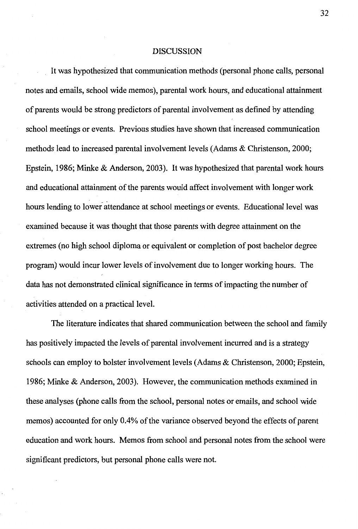#### DISCUSSION

It was hypothesized that communication methods (personal phone calls, personal notes and emails, school wide memos), parental work hours, and educational attainment of parents would be strong predictors of parental involvement as defined by attending school meetings or events. Previous studies have shown that increased communication methods lead to increased parental involvement levels (Adams & Christenson, 2000; Epstein, 1986; Minke & Anderson, 2003). It was hypothesized that parental work hours and educational attainment of the parents would affect involvement with longer work hours lending to lower attendance at school meetings or events. Educational level was examined because it was thought that those parents with degree attainment on the extremes (no high school diploma or equivalent or completion of post bachelor degree program) would incur lower levels of involvement due to longer working hours. The data has not demonstrated clinical significance in terms of impacting the number of activities attended on a practical level.

The literature indicates that shared communication between the school and family has positively impacted the levels of parental involvement incurred and is a strategy schools can employ to bolster involvement levels (Adams & Christenson, 2000; Epstein, 1986; Minke & Anderson, 2003). However, the communication methods examined in these analyses (phone calls from the school, personal notes or emails, and school wide memos) accounted for only 0.4% of the variance observed beyond the effects of parent education and work hours. Memos from school and personal notes from the school were significant predictors, but personal phone calls were not.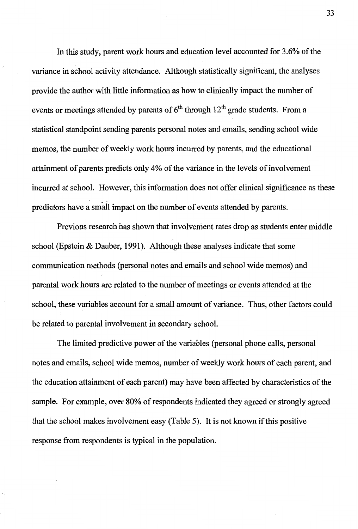In this study, parent work hours and education level accounted for 3.6% of the variance in school activity attendance. Although statistically significant, the analyses provide the author with little information as how to clinically impact the number of events or meetings attended by parents of  $6<sup>th</sup>$  through 12<sup>th</sup> grade students. From a statistical standpoint sending parents personal notes and emails, sending school wide memos, the number of weekly work hours incurred by parents, and the educational attainment of parents predicts only 4% of the variance in the levels of involvement incurred at school. However, this information does not offer clinical significance as these predictors have a small impact on the number of events attended by parents.

Previous research has shown that involvement rates drop as students enter middle school (Epstein & Dauber, 1991). Although these analyses indicate that some communication methods (personal notes and emails and school wide memos) and parental work hours are related to the number of meetings or events attended at the school, these variables account for a small amount of variance. Thus, other factors could be related to parental involvement in secondary school.

The limited predictive power of the variables (personal phone calls, personal notes and emails, school wide memos, number of weekly work hours of each parent, and the education attainment of each parent) may have been affected by characteristics of the sample. For example, over 80% of respondents indicated they agreed or strongly agreed that the school makes involvement easy (Table 5). It is not known if this positive response from respondents is typical in the population.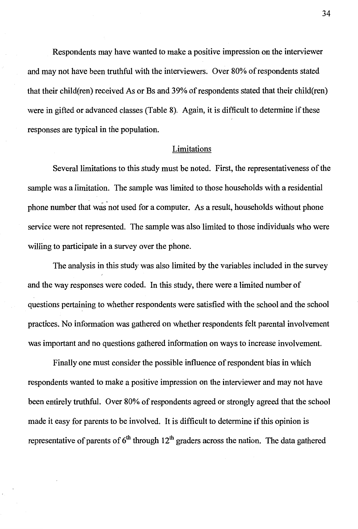Respondents may have wanted to make a positive impression on the interviewer and may not have been truthful with the interviewers. Over 80% of respondents stated that their child(ren) received As or Bs and 39% of respondents stated that their child(ren) were in gifted or advanced classes (Table 8). Again, it is difficult to determine if these responses are typical in the population.

#### **Limitations**

Several limitations to this study must be noted. First, the representativeness of the sample was a limitation. The sample was limited to those households with a residential phone number that was not used for a computer. As a result, households without phone service were not represented. The sample was also limited to those individuals who were willing to participate in a survey over the phone.

The analysis in this study was also limited by the variables included in the survey and the way responses were coded. In this study, there were a limited number of questions pertaining to whether respondents were satisfied with the school and the school practices. No information was gathered on whether respondents felt parental involvement was important and no questions gathered information on ways to increase involvement.

Finally one must consider the possible influence of respondent bias in which respondents wanted to make a positive impression on the interviewer and may not have been entirely truthful. Over 80% of respondents agreed or strongly agreed that the school made it easy for parents to be involved. It is difficult to determine if this opinion is representative of parents of  $6<sup>th</sup>$  through  $12<sup>th</sup>$  graders across the nation. The data gathered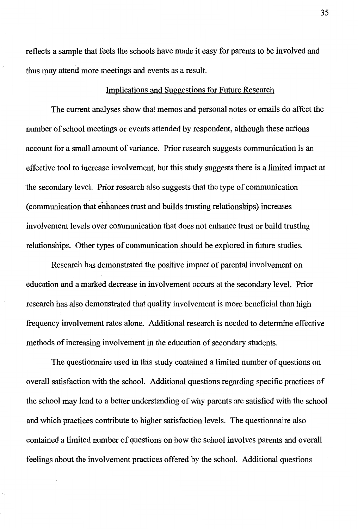reflects a sample that feels the schools have made it easy for parents to be involved and thus may attend more meetings and events as a result.

#### Implications and Suggestions for Future Research

The current analyses show that memos and personal notes or emails do affect the number of school meetings or events attended by respondent, although these actions account for a small amount of variance. Prior research suggests communication is an effective tool to increase involvement, but this study suggests there is a limited impact at the secondary level. Prior research also suggests that the type of communication ( communication that enhances trust and builds trusting relationships) increases involvement levels over communication that does not enhance trust or build trusting relationships. Other types of communication should be explored in future studies.

Research has demonstrated the positive impact of parental involvement on education and a marked decrease in involvement occurs at the secondary level. Prior research has also demonstrated that quality involvement is more beneficial than high frequency involvement rates alone. Additional research is needed to determine effective methods of increasing involvement in the education of secondary students.

The questionnaire used in this study contained a limited number of questions on overall satisfaction with the school. Additional questions regarding specific practices of the school may lend to a better understanding of why parents are satisfied with the school and which practices contribute to higher satisfaction levels. The questionnaire also contained a limited number of questions on how the school involves parents and overall feelings about the involvement practices offered by the school. Additional questions

35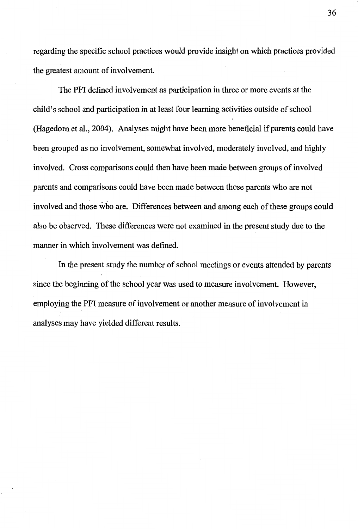regarding the specific school practices would provide insight on which practices provided the greatest amount of involvement.

The PFI defined involvement as participation in three or more events at the child's school and participation in at least four learning activities outside of school (Hagedorn et al., 2004). Analyses might have been more beneficial if parents could have been grouped as no involvement, somewhat involved, moderately involved, and highly involved. Cross comparisons could then have been made between groups of involved parents and comparisons could have been made between those parents who are not involved and those who are. Differences between and among each of these groups could also be observed. These differences were not examined in the present study due to the manner in which involvement was defined.

In the present study the number of school meetings or events attended by parents since the beginning of the school year was used to measure involvement. However, employing the PFI measure of involvement or another measure of involvement in analyses may have yielded different results.

36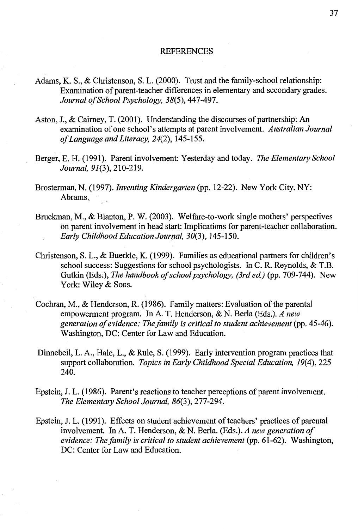#### REFERENCES

- Adams, K. S., & Christenson, S. L. (2000). Trust and the family-school relationship: Examination of parent-teacher differences in elementary and secondary grades. *Journal of School Psychology, 38(5),* 447-497.
- Aston, J., & Caimey, T. (2001). Understanding the discourses of partnership: An examination of one school's attempts at parent involvement. *Australian Journal of Language and Literacy, 24(2),* 145-155.
- Berger, E. H. (1991). Parent involvement: Yesterday and today. *The Elementary School Journal, 91(3),* 210-219.
- Brosterman, N. (1997). *Inventing Kindergarten* (pp. 12-22). New York City, NY: Abrams.
- Bruckman, M., & Blanton, P. W. (2003). Welfare-to-work single mothers' perspectives on parent involvement in head start: Implications for parent-teacher collaboration. *Early Childhood Education Journal, 30(3),* 145-150.
- Christenson, S. L., & Buerkle, K. (1999). Families as educational partners for children's school success: Suggestions for school psychologists. In C.R. Reynolds, & T.B. Gutkin (Eds~), *The handbook of school psychology, (3rd ed)* (pp. 709-744). New York: Wiley & Sons.
- Cochran, M., & Henderson, R. (1986). Family matters: Evaluation of the parental empowerment program. In A. T. Henderson, & N. Berla (Eds.). *A new generation of evidence: The family is critical to student achievement* (pp. 45-46). Washington, DC: Center for Law and Education.
- Dinnebeil, L.A., Hale, L., & Rule, S. (1999). Early intervention program practices that support collaboration. *Topics in Early Childhood Special Education, 19(4),* 225 240.
- Epstein, J. L. (1986). Parent's reactions to teacher perceptions of parent involvement. *The Elementary School Journal, 86(3),* 277-294.
- Epstein, J. L. (1991). Effects on student achievement of teachers' practices of parental involvement. In A. T. Henderson, & N. Berla. (Eds.). *A new generation of evidence: The family is critical to student achievement* (pp. 61-62). Washington, DC: Center for Law and Education.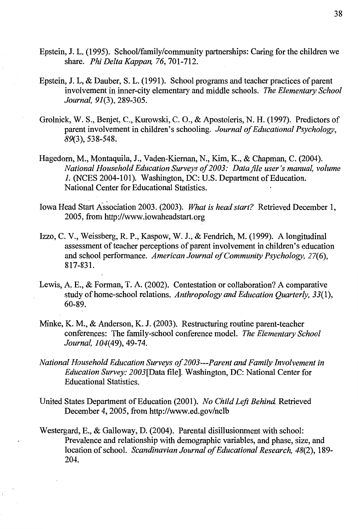- Epstein, J. L. (1995). School/family/community partnerships: Caring for the children we share. *Phi Delta Kappan, 76,* 701-712.
- Epstein, J. L, & Dauber, S. L. (1991). School programs and teacher practices of parent involvement in inner-city elementary and middle schools. *The Elementary School Journal, 91(3),* 289-305.
- Grolnick, W. S., Benjet, C., Kurowski, C. 0., & Apostoleris, N. H. (1997). Predictors of parent involvement in children's schooling. *Journal of Educational Psychology, 89(3),* 538-548.
- Hagedorn, M., Montaquila, J., Vaden-Kiernan, N., Kim, K., & Chapman, C. (2004). *National Household Education Surveys of 2003: Datafile user's manual, volume*  1. (NCES 2004-101). Washington, DC: U.S. Department of Education. National Center for Educational Statistics.
- Iowa Head Start Association 2003. (2003). *What is head start?* Retrieved December 1, 2005, from http://www.iowaheadstart.org
- Izzo, C. V., Weissberg, R. P., Kaspow, W. J., & Fendrich, M. (1999). A longitudinal assessment of teacher perceptions of parent involvement in children's education and school performance. *American Journal of Community Psychology, 27(6),*  817-831.
- Lewis, A. E., & Forman, T. A. (2002). Contestation or collaboration? A comparative study of home-school relations. *Anthropology and Education Quarterly, 33(1),*  60-89.
- Minke, K. M., & Anderson, K. J. (2003). Restructuring routine parent-teacher conferences: The family-school conference model. *The Elementary School Journal, 104(49),* 49-74.
- *National Household Education Surveys of2003---Parent and Family Involvement in Education Survey: 2003[Data* file]. Washington, DC: National Center for Educational Statistics.
- United States Department of Education (2001). *No Child Left Behind.* Retrieved December 4, 2005, from http://www.ed.gov/nclb
- Westergard, E., & Galloway, D. (2004). Parental disillusionment with school: Prevalence and relationship with demographic variables, and phase, size, and location of school. *Scandinavian Journal of Educational Research, 48(2),* 189- 204.